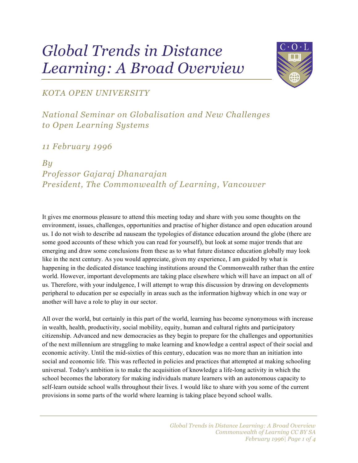# *Global Trends in Distance Learning: A Broad Overview*



#### *KOTA OPEN UNIVERSITY*

### *National Seminar on Globalisation and New Challenges to Open Learning Systems*

#### *11 February 1996*

#### *By*

## *Professor Gajaraj Dhanarajan President, The Commonwealth of Learning, Vancouver*

It gives me enormous pleasure to attend this meeting today and share with you some thoughts on the environment, issues, challenges, opportunities and practise of higher distance and open education around us. I do not wish to describe ad nauseam the typologies of distance education around the globe (there are some good accounts of these which you can read for yourself), but look at some major trends that are emerging and draw some conclusions from these as to what future distance education globally may look like in the next century. As you would appreciate, given my experience, I am guided by what is happening in the dedicated distance teaching institutions around the Commonwealth rather than the entire world. However, important developments are taking place elsewhere which will have an impact on all of us. Therefore, with your indulgence, I will attempt to wrap this discussion by drawing on developments peripheral to education per se especially in areas such as the information highway which in one way or another will have a role to play in our sector.

All over the world, but certainly in this part of the world, learning has become synonymous with increase in wealth, health, productivity, social mobility, equity, human and cultural rights and participatory citizenship. Advanced and new democracies as they begin to prepare for the challenges and opportunities of the next millennium are struggling to make learning and knowledge a central aspect of their social and economic activity. Until the mid-sixties of this century, education was no more than an initiation into social and economic life. This was reflected in policies and practices that attempted at making schooling universal. Today's ambition is to make the acquisition of knowledge a life-long activity in which the school becomes the laboratory for making individuals mature learners with an autonomous capacity to self-learn outside school walls throughout their lives. I would like to share with you some of the current provisions in some parts of the world where learning is taking place beyond school walls.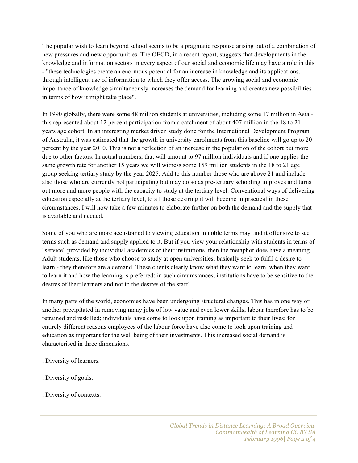The popular wish to learn beyond school seems to be a pragmatic response arising out of a combination of new pressures and new opportunities. The OECD, in a recent report, suggests that developments in the knowledge and information sectors in every aspect of our social and economic life may have a role in this - "these technologies create an enormous potential for an increase in knowledge and its applications, through intelligent use of information to which they offer access. The growing social and economic importance of knowledge simultaneously increases the demand for learning and creates new possibilities in terms of how it might take place".

In 1990 globally, there were some 48 million students at universities, including some 17 million in Asia this represented about 12 percent participation from a catchment of about 407 million in the 18 to 21 years age cohort. In an interesting market driven study done for the International Development Program of Australia, it was estimated that the growth in university enrolments from this baseline will go up to 20 percent by the year 2010. This is not a reflection of an increase in the population of the cohort but more due to other factors. In actual numbers, that will amount to 97 million individuals and if one applies the same growth rate for another 15 years we will witness some 159 million students in the 18 to 21 age group seeking tertiary study by the year 2025. Add to this number those who are above 21 and include also those who are currently not participating but may do so as pre-tertiary schooling improves and turns out more and more people with the capacity to study at the tertiary level. Conventional ways of delivering education especially at the tertiary level, to all those desiring it will become impractical in these circumstances. I will now take a few minutes to elaborate further on both the demand and the supply that is available and needed.

Some of you who are more accustomed to viewing education in noble terms may find it offensive to see terms such as demand and supply applied to it. But if you view your relationship with students in terms of "service" provided by individual academics or their institutions, then the metaphor does have a meaning. Adult students, like those who choose to study at open universities, basically seek to fulfil a desire to learn - they therefore are a demand. These clients clearly know what they want to learn, when they want to learn it and how the learning is preferred; in such circumstances, institutions have to be sensitive to the desires of their learners and not to the desires of the staff.

In many parts of the world, economies have been undergoing structural changes. This has in one way or another precipitated in removing many jobs of low value and even lower skills; labour therefore has to be retrained and reskilled; individuals have come to look upon training as important to their lives; for entirely different reasons employees of the labour force have also come to look upon training and education as important for the well being of their investments. This increased social demand is characterised in three dimensions.

- . Diversity of learners.
- . Diversity of goals.
- . Diversity of contexts.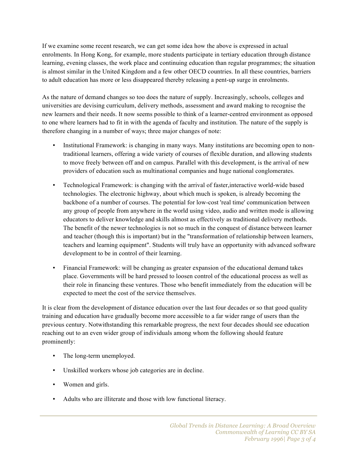If we examine some recent research, we can get some idea how the above is expressed in actual enrolments. In Hong Kong, for example, more students participate in tertiary education through distance learning, evening classes, the work place and continuing education than regular programmes; the situation is almost similar in the United Kingdom and a few other OECD countries. In all these countries, barriers to adult education has more or less disappeared thereby releasing a pent-up surge in enrolments.

As the nature of demand changes so too does the nature of supply. Increasingly, schools, colleges and universities are devising curriculum, delivery methods, assessment and award making to recognise the new learners and their needs. It now seems possible to think of a learner-centred environment as opposed to one where learners had to fit in with the agenda of faculty and institution. The nature of the supply is therefore changing in a number of ways; three major changes of note:

- Institutional Framework: is changing in many ways. Many institutions are becoming open to nontraditional learners, offering a wide variety of courses of flexible duration, and allowing students to move freely between off and on campus. Parallel with this development, is the arrival of new providers of education such as multinational companies and huge national conglomerates.
- Technological Framework: is changing with the arrival of faster,interactive world-wide based technologies. The electronic highway, about which much is spoken, is already becoming the backbone of a number of courses. The potential for low-cost 'real time' communication between any group of people from anywhere in the world using video, audio and written mode is allowing educators to deliver knowledge and skills almost as effectively as traditional delivery methods. The benefit of the newer technologies is not so much in the conquest of distance between learner and teacher (though this is important) but in the "transformation of relationship between learners, teachers and learning equipment". Students will truly have an opportunity with advanced software development to be in control of their learning.
- Financial Framework: will be changing as greater expansion of the educational demand takes place. Governments will be hard pressed to loosen control of the educational process as well as their role in financing these ventures. Those who benefit immediately from the education will be expected to meet the cost of the service themselves.

It is clear from the development of distance education over the last four decades or so that good quality training and education have gradually become more accessible to a far wider range of users than the previous century. Notwithstanding this remarkable progress, the next four decades should see education reaching out to an even wider group of individuals among whom the following should feature prominently:

- The long-term unemployed.
- Unskilled workers whose job categories are in decline.
- Women and girls.
- Adults who are illiterate and those with low functional literacy.